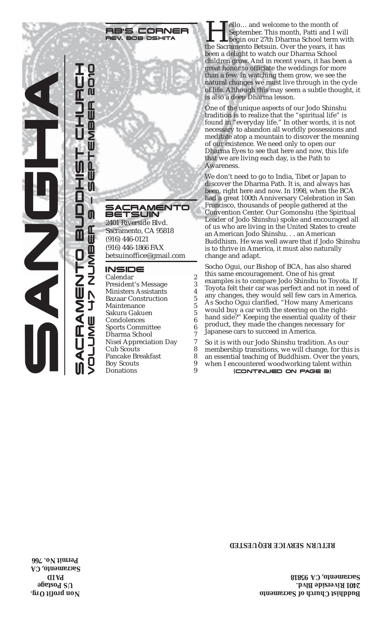## RB'S CORNER REV. BOB OSHITA

## **ACRAMENTO** BETSUIN

2401 Riverside Blvd. Sacramento, CA 95818 (916) 446-0121 (916) 446-1866 FAX betsuinoffice@gmail.com

## INSIDE

Calendar 2<br>President's Message 3 President's Message Ministers Assistants 14<br>Bazaar Construction 5 Bazaar Construction 5<br>Maintenance 5 Maintenance 5<br>Sakura Gakuen 5 Sakura Gakuen 5 Condolences Sports Committee 6 Dharma School 7<br>Nisej Appreciation Day 7 Nisei Appreciation Day 7 Cub Scouts<br>Pancake Breakfast 8 Pancake Breakfast 8<br>Bov Scouts 9 Boy Scouts 9<br>Donations 9 **Donations** 

**Hello…** and welcome to the month of<br>September. This month, Patti and I wis<br>the Sacramento Betsuin. Over the years, it has September. This month, Patti and I will begin our 27th Dharma School term with been a delight to watch our Dharma School children grow. And in recent years, it has been a great honor to officiate the weddings for more than a few. In watching them grow, we see the natural changes we must live through in the cycle of life. Although this may seem a subtle thought, it is also a deep Dharma lesson.

One of the unique aspects of our Jodo Shinshu tradition is to realize that the "spiritual life" is found in "everyday life." In other words, it is not necessary to abandon all worldly possessions and meditate atop a mountain to discover the meaning of our existence. We need only to open our Dharma Eyes to see that here and now, this life that we are living each day, is the Path to Awareness.

We don't need to go to India, Tibet or Japan to discover the Dharma Path. It is, and always has been, right here and now. In 1998, when the BCA had a great 100th Anniversary Celebration in San Francisco, thousands of people gathered at the Convention Center. Our Gomonshu (the Spiritual Leader of Jodo Shinshu) spoke and encouraged all of us who are living in the United States to create an American Jodo Shinshu. . . an American Buddhism. He was well aware that if Jodo Shinshu is to thrive in America, it must also naturally change and adapt.

Socho Ogui, our Bishop of BCA, has also shared this same encouragement. One of his great examples is to compare Jodo Shinshu to Toyota. If Toyota felt their car was perfect and not in need of any changes, they would sell few cars in America. As Socho Ogui clarified, "How many Americans would buy a car with the steering on the righthand side?" Keeping the essential quality of their product, they made the changes necessary for Japanese cars to succeed in America.

(CONTINUED ON PAGE 3) So it is with our Jodo Shinshu tradition. As our membership transitions, we will change, for this is an essential teaching of Buddhism. Over the years, when I encountered woodworking talent within

# **RETURN SERVICE REQUESTED**

**Buddhist Church of Sacramento 2401 Riverside Blvd. Sacramento, CA 95818**

**Non profit Org. US Postage AID P Sacramento, CA Permit No. 766**

SANGHA  $\bar{\mathbb{I}}$ **AIL** 

SACRAMENTO BUDDU BUDDO BUDDO BUDDO BUDDO BUDDO BUDDO BUDDO BUDDO BUDDO BUDDO BUDDO BUDDO BUDDO BUDDO BUDDO BU

E

LUME 47 NUMBER 9 — SEPTEMBER 2010

 $\blacksquare$ 

Ź

**Z<br>III** 

VO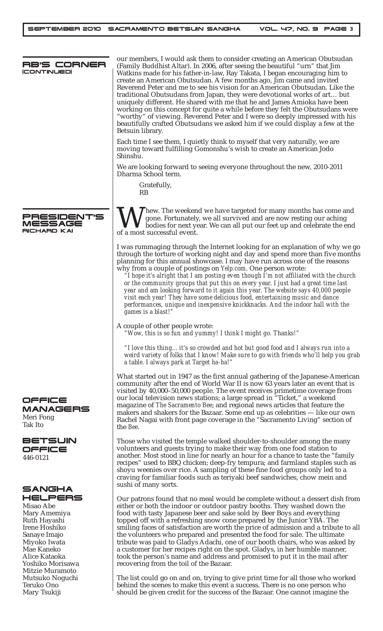| RB'S CORNER<br>(CONTINUED)                                                                                                                                                | our members, I would ask them to consider creating an American Obutsudan<br>(Family Buddhist Altar). In 2006, after seeing the beautiful "urn" that Jim<br>Watkins made for his father-in-law, Ray Takata, I began encouraging him to<br>create an American Obutsudan. A few months ago, Jim came and invited<br>Reverend Peter and me to see his vision for an American Obutsudan. Like the<br>traditional Obutsudans from Japan, they were devotional works of art but<br>uniquely different. He shared with me that he and James Amioka have been<br>working on this concept for quite a while before they felt the Obutsudans were<br>"worthy" of viewing. Reverend Peter and I were so deeply impressed with his<br>beautifully crafted Obutsudans we asked him if we could display a few at the<br>Betsuin library.<br>Each time I see them, I quietly think to myself that very naturally, we are |
|---------------------------------------------------------------------------------------------------------------------------------------------------------------------------|----------------------------------------------------------------------------------------------------------------------------------------------------------------------------------------------------------------------------------------------------------------------------------------------------------------------------------------------------------------------------------------------------------------------------------------------------------------------------------------------------------------------------------------------------------------------------------------------------------------------------------------------------------------------------------------------------------------------------------------------------------------------------------------------------------------------------------------------------------------------------------------------------------|
|                                                                                                                                                                           | moving toward fulfilling Gomonshu's wish to create an American Jodo<br>Shinshu.                                                                                                                                                                                                                                                                                                                                                                                                                                                                                                                                                                                                                                                                                                                                                                                                                          |
|                                                                                                                                                                           | We are looking forward to seeing everyone throughout the new, 2010-2011<br>Dharma School term.                                                                                                                                                                                                                                                                                                                                                                                                                                                                                                                                                                                                                                                                                                                                                                                                           |
|                                                                                                                                                                           | Gratefully,<br>RB                                                                                                                                                                                                                                                                                                                                                                                                                                                                                                                                                                                                                                                                                                                                                                                                                                                                                        |
| PRESIDENT'S<br>MESSAGE<br><b>RICHARD KAI</b>                                                                                                                              | <b>Thew.</b> The weekend we have targeted for many months has come and<br>gone. Fortunately, we all survived and are now resting our aching<br>bodies for next year. We can all put our feet up and celebrate the end<br>of a most successful event.                                                                                                                                                                                                                                                                                                                                                                                                                                                                                                                                                                                                                                                     |
|                                                                                                                                                                           | I was rummaging through the Internet looking for an explanation of why we go<br>through the torture of working night and day and spend more than five months<br>planning for this annual showcase. I may have run across one of the reasons<br>why from a couple of postings on Yelp.com. One person wrote:<br>"I hope it's alright that I am posting even though I'm not affiliated with the church<br>or the community groups that put this on every year. I just had a great time last<br>year and am looking forward to it again this year. The website says 40,000 people<br>visit each year! They have some delicious food, entertaining music and dance<br>performances, unique and inexpensive knickknacks. And the indoor hall with the<br>games is a blast!"                                                                                                                                   |
|                                                                                                                                                                           | A couple of other people wrote:<br>"Wow, this is so fun and yummy! I think I might go. Thanks!"                                                                                                                                                                                                                                                                                                                                                                                                                                                                                                                                                                                                                                                                                                                                                                                                          |
|                                                                                                                                                                           | "I love this thing it's so crowded and hot but good food and I always run into a<br>weird variety of folks that I know! Make sure to go with friends who'll help you grab<br>a table. I always park at Target ha-ha!"                                                                                                                                                                                                                                                                                                                                                                                                                                                                                                                                                                                                                                                                                    |
| OFFICE<br><b>MANAGERS</b><br>Meri Fong<br>Tak Ito                                                                                                                         | What started out in 1947 as the first annual gathering of the Japanese-American<br>community after the end of World War II is now 63 years later an event that is<br>visited by 40,000-50,000 people. The event receives primetime coverage from<br>our local television news stations; a large spread in "Ticket," a weekend<br>magazine of The Sacramento Bee; and regional news articles that feature the<br>makers and shakers for the Bazaar. Some end up as celebrities - like our own<br>Rachel Nagai with front page coverage in the "Sacramento Living" section of<br>the <i>Bee.</i>                                                                                                                                                                                                                                                                                                           |
| <b>BETSUIN</b><br>OFFICE<br>446-0121                                                                                                                                      | Those who visited the temple walked shoulder-to-shoulder among the many<br>volunteers and guests trying to make their way from one food station to<br>another. Most stood in line for nearly an hour for a chance to taste the "family<br>recipes" used to BBQ chicken; deep-fry tempura; and farmland staples such as<br>shoyu weenies over rice. A sampling of these fine food groups only led to a<br>craving for familiar foods such as teriyaki beef sandwiches, chow mein and<br>sushi of many sorts.                                                                                                                                                                                                                                                                                                                                                                                              |
| <b>SANGHA</b><br>HELPERS<br>Misao Abe<br>Mary Amemiya<br>Ruth Hayashi<br>Irene Hoshiko<br>Sanaye Imajo<br>Miyoko Iwata<br>Mae Kaneko<br>Alice Kataoka<br>Yoshiko Morisawa | Our patrons found that no meal would be complete without a dessert dish from<br>either or both the indoor or outdoor pastry booths. They washed down the<br>food with tasty Japanese beer and sake sold by Beer Boys and everything<br>topped off with a refreshing snow cone prepared by the Junior YBA. The<br>smiling faces of satisfaction are worth the price of admission and a tribute to all<br>the volunteers who prepared and presented the food for sale. The ultimate<br>tribute was paid to Gladys Adachi, one of our booth chairs, who was asked by<br>a customer for her recipes right on the spot. Gladys, in her humble manner,<br>took the person's name and address and promised to put it in the mail after<br>recovering from the toil of the Bazaar.                                                                                                                               |

The list could go on and on, trying to give print time for all those who worked behind the scenes to make this event a success. There is no one person who should be given credit for the success of the Bazaar. One cannot imagine the

Yoshiko Morisawa Mitzie Muramoto Mutsuko Noguchi Teruko Ono Mary Tsukiji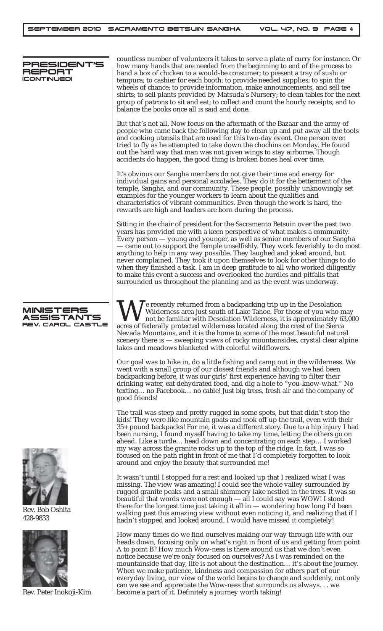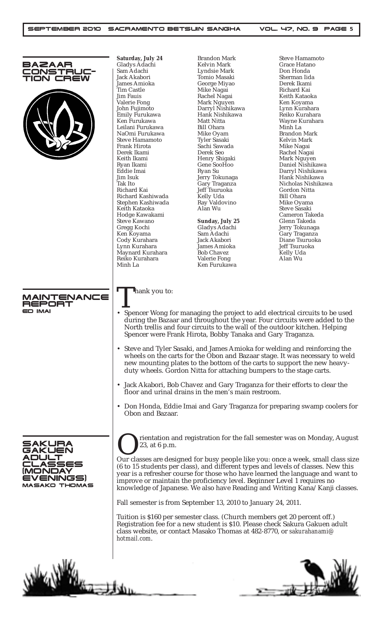|                           | Saturday, July 24                                                                                                                  | <b>Brandon Mark</b>                                                       | <b>Steve Hamamoto</b>                                                                                                                                       |
|---------------------------|------------------------------------------------------------------------------------------------------------------------------------|---------------------------------------------------------------------------|-------------------------------------------------------------------------------------------------------------------------------------------------------------|
| <b>BAZAAR</b><br>ONSTRUC- | Gladys Adachi<br>Sam Adachi                                                                                                        | <b>Kelvin Mark</b><br>Lyndsie Mark                                        | Grace Hatano<br>Don Honda                                                                                                                                   |
| TION CREW                 | Jack Akabori                                                                                                                       | Tomio Masaki                                                              | Sherman Iida                                                                                                                                                |
|                           | James Amioka                                                                                                                       | George Miyao                                                              | Derek Ikami                                                                                                                                                 |
|                           | Tim Castle<br>Jim Fauis                                                                                                            | Mike Nagai<br>Rachel Nagai                                                | Richard Kai<br>Keith Kataoka                                                                                                                                |
|                           | Valerie Fong                                                                                                                       | Mark Nguyen                                                               | Ken Koyama                                                                                                                                                  |
|                           | John Fujimoto                                                                                                                      | Darryl Nishikawa                                                          | Lynn Kurahara                                                                                                                                               |
|                           | Emily Furukawa                                                                                                                     | Hank Nishikawa                                                            | Reiko Kurahara                                                                                                                                              |
|                           | Ken Furukawa                                                                                                                       | Matt Nitta                                                                | Wayne Kurahara                                                                                                                                              |
|                           | Leilani Furukawa<br>NaOmi Furukawa                                                                                                 | <b>Bill Ohara</b><br>Mike Oyam                                            | Minh La<br><b>Brandon Mark</b>                                                                                                                              |
|                           | <b>Steve Hamamoto</b>                                                                                                              | <b>Tyler Sasaki</b>                                                       | Kelvin Mark                                                                                                                                                 |
|                           | Frank Hirota                                                                                                                       | Sachi Sawada                                                              | Mike Nagai                                                                                                                                                  |
|                           | Derek Ikami                                                                                                                        | Derek Seo                                                                 | Rachel Nagai                                                                                                                                                |
|                           | Keith Ikami<br>Ryan Ikami                                                                                                          | Henry Shigaki<br>Gene SooHoo                                              | Mark Nguyen<br>Daniel Nishikawa                                                                                                                             |
|                           | Eddie Imai                                                                                                                         | Ryan Su                                                                   | Darryl Nishikawa                                                                                                                                            |
|                           | Jim Isuk                                                                                                                           | Jerry Tokunaga                                                            | Hank Nishikawa                                                                                                                                              |
|                           | Tak Ito                                                                                                                            | Gary Traganza                                                             | Nicholas Nishikawa                                                                                                                                          |
|                           | Richard Kai<br>Richard Kashiwada                                                                                                   | Jeff Tsuruoka<br>Kelly Uda                                                | <b>Gordon Nitta</b><br><b>Bill Ohara</b>                                                                                                                    |
|                           | Stephen Kashiwada                                                                                                                  | Ray Valdovino                                                             | Mike Oyama                                                                                                                                                  |
|                           | Keith Kataoka                                                                                                                      | Alan Wu                                                                   | Steve Sasaki                                                                                                                                                |
|                           | Hodge Kawakami                                                                                                                     |                                                                           | Cameron Takeda                                                                                                                                              |
|                           | <b>Steve Kawano</b>                                                                                                                | <b>Sunday, July 25</b>                                                    | Glenn Takeda                                                                                                                                                |
|                           | Gregg Kochi<br>Ken Koyama                                                                                                          | Gladys Adachi<br>Sam Adachi                                               | Jerry Tokunaga<br>Gary Traganza                                                                                                                             |
|                           | Cody Kurahara                                                                                                                      | Jack Akabori                                                              | Diane Tsuruoka                                                                                                                                              |
|                           | Lynn Kurahara                                                                                                                      | James Amioka                                                              | Jeff Tsuruoka                                                                                                                                               |
|                           | Maynard Kurahara                                                                                                                   | <b>Bob Chavez</b>                                                         | Kelly Uda                                                                                                                                                   |
|                           | Reiko Kurahara                                                                                                                     | Valerie Fong                                                              | Alan Wu                                                                                                                                                     |
|                           | Minh La                                                                                                                            | Ken Furukawa                                                              |                                                                                                                                                             |
|                           |                                                                                                                                    |                                                                           |                                                                                                                                                             |
|                           |                                                                                                                                    |                                                                           |                                                                                                                                                             |
| <b>MAINTENANCE</b>        | Thank you to:                                                                                                                      |                                                                           |                                                                                                                                                             |
| REPORT                    |                                                                                                                                    |                                                                           |                                                                                                                                                             |
| ED IMAI                   |                                                                                                                                    |                                                                           |                                                                                                                                                             |
|                           |                                                                                                                                    |                                                                           | • Spencer Wong for managing the project to add electrical circuits to be used<br>during the Bazaar and throughout the year. Four circuits were added to the |
|                           |                                                                                                                                    |                                                                           | North trellis and four circuits to the wall of the outdoor kitchen. Helping                                                                                 |
|                           |                                                                                                                                    | Spencer were Frank Hirota, Bobby Tanaka and Gary Traganza.                |                                                                                                                                                             |
|                           |                                                                                                                                    |                                                                           |                                                                                                                                                             |
|                           |                                                                                                                                    |                                                                           | • Steve and Tyler Sasaki, and James Amioka for welding and reinforcing the                                                                                  |
|                           |                                                                                                                                    |                                                                           | wheels on the carts for the Obon and Bazaar stage. It was necessary to weld                                                                                 |
|                           |                                                                                                                                    |                                                                           | new mounting plates to the bottom of the carts to support the new heavy-                                                                                    |
|                           |                                                                                                                                    | duty wheels. Gordon Nitta for attaching bumpers to the stage carts.       |                                                                                                                                                             |
|                           |                                                                                                                                    |                                                                           |                                                                                                                                                             |
|                           | • Jack Akabori, Bob Chavez and Gary Traganza for their efforts to clear the<br>floor and urinal drains in the men's main restroom. |                                                                           |                                                                                                                                                             |
|                           |                                                                                                                                    |                                                                           |                                                                                                                                                             |
|                           |                                                                                                                                    |                                                                           |                                                                                                                                                             |
|                           |                                                                                                                                    |                                                                           | • Don Honda, Eddie Imai and Gary Traganza for preparing swamp coolers for                                                                                   |
|                           | Obon and Bazaar.                                                                                                                   |                                                                           |                                                                                                                                                             |
|                           |                                                                                                                                    |                                                                           |                                                                                                                                                             |
|                           |                                                                                                                                    |                                                                           |                                                                                                                                                             |
|                           |                                                                                                                                    |                                                                           | rientation and registration for the fall semester was on Monday, August                                                                                     |
| SAKURA<br>AKUEN           | 23, at 6 p.m.                                                                                                                      |                                                                           |                                                                                                                                                             |
|                           |                                                                                                                                    |                                                                           |                                                                                                                                                             |
| .ASSES                    |                                                                                                                                    |                                                                           | Our classes are designed for busy people like you: once a week, small class size                                                                            |
| (MONDAY                   |                                                                                                                                    |                                                                           | (6 to 15 students per class), and different types and levels of classes. New this                                                                           |
| EVENINGS)                 |                                                                                                                                    | improve or maintain the proficiency level. Beginner Level 1 requires no   | year is a refresher course for those who have learned the language and want to                                                                              |
| <b>MASAKO THOMAS</b>      |                                                                                                                                    |                                                                           | knowledge of Japanese. We also have Reading and Writing Kana/Kanji classes.                                                                                 |
|                           |                                                                                                                                    |                                                                           |                                                                                                                                                             |
|                           |                                                                                                                                    | Fall semester is from September 13, 2010 to January 24, 2011.             |                                                                                                                                                             |
|                           |                                                                                                                                    | Tuition is \$160 per semester class. (Church members get 20 percent off.) |                                                                                                                                                             |
|                           |                                                                                                                                    |                                                                           | Registration fee for a new student is \$10. Please check Sakura Gakuen adult                                                                                |
|                           |                                                                                                                                    | class website, or contact Masako Thomas at 482-8770, or sakurahanami@     |                                                                                                                                                             |
|                           | hotmail.com.                                                                                                                       |                                                                           |                                                                                                                                                             |
|                           |                                                                                                                                    |                                                                           |                                                                                                                                                             |
|                           |                                                                                                                                    |                                                                           |                                                                                                                                                             |
|                           |                                                                                                                                    |                                                                           |                                                                                                                                                             |
|                           |                                                                                                                                    |                                                                           |                                                                                                                                                             |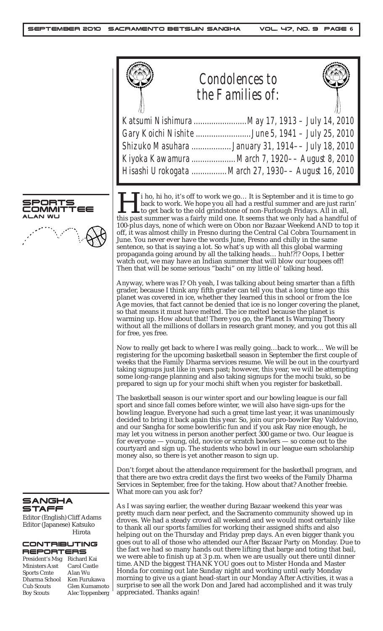|                                                                                   |                            | <b>Condolences to</b><br>the Families of:                                                                                                                                                                                                                                                                                                                                                                                                                                                                                                                                                                                                                                                                                                                                                                                                                                                                                                                                 |  |
|-----------------------------------------------------------------------------------|----------------------------|---------------------------------------------------------------------------------------------------------------------------------------------------------------------------------------------------------------------------------------------------------------------------------------------------------------------------------------------------------------------------------------------------------------------------------------------------------------------------------------------------------------------------------------------------------------------------------------------------------------------------------------------------------------------------------------------------------------------------------------------------------------------------------------------------------------------------------------------------------------------------------------------------------------------------------------------------------------------------|--|
|                                                                                   |                            | Katsumi Nishimura  May 17, 1913 - July 14, 2010<br>Gary Koichi Nishite June 5, 1941 - July 25, 2010<br>Shizuko Masuhara  January 31, 1914-- July 18, 2010<br>Kiyoka Kawamura  March 7, 1920-- August 8, 2010<br>Hisashi Urokogata  March 27, 1930-- August 16, 2010                                                                                                                                                                                                                                                                                                                                                                                                                                                                                                                                                                                                                                                                                                       |  |
|                                                                                   |                            | I i ho, hi ho, it's off to work we go It is September and it is time to go<br>back to work. We hope you all had a restful summer and are just rarin'<br>$\blacksquare$ to get back to the old grindstone of non-Furlough Fridays. All in all,<br>this past summer was a fairly mild one. It seems that we only had a handful of<br>100-plus days, none of which were on Obon nor Bazaar Weekend AND to top it<br>off, it was almost chilly in Fresno during the Central Cal Cobra Tournament in<br>June. You never ever have the words June, Fresno and chilly in the same<br>sentence, so that is saying a lot. So what's up with all this global warming<br>propaganda going around by all the talking heads huh!?!? Oops, I better<br>watch out, we may have an Indian summer that will blow our toupees off!<br>Then that will be some serious "bachi" on my little ol' talking head.                                                                                 |  |
|                                                                                   | for free, yes free.        | Anyway, where was I? Oh yeah, I was talking about being smarter than a fifth<br>grader, because I think any fifth grader can tell you that a long time ago this<br>planet was covered in ice, whether they learned this in school or from the Ice<br>Age movies, that fact cannot be denied that ice is no longer covering the planet,<br>so that means it must have melted. The ice melted because the planet is<br>warming up. How about that! There you go, the Planet Is Warming Theory<br>without all the millions of dollars in research grant money, and you got this all                                                                                                                                                                                                                                                                                                                                                                                          |  |
|                                                                                   |                            | Now to really get back to where I was really goingback to work We will be<br>registering for the upcoming basketball season in September the first couple of<br>weeks that the Family Dharma services resume. We will be out in the courtyard<br>taking signups just like in years past; however, this year, we will be attempting<br>some long-range planning and also taking signups for the mochi tsuki, so be<br>prepared to sign up for your mochi shift when you register for basketball.                                                                                                                                                                                                                                                                                                                                                                                                                                                                           |  |
|                                                                                   |                            | The basketball season is our winter sport and our bowling league is our fall<br>sport and since fall comes before winter, we will also have sign-ups for the<br>bowling league. Everyone had such a great time last year, it was unanimously<br>decided to bring it back again this year. So, join our pro-bowler Ray Valdovino,<br>and our Sangha for some bowlerific fun and if you ask Ray nice enough, he<br>may let you witness in person another perfect 300 game or two. Our league is<br>for everyone $-$ young, old, novice or scratch bowlers $-$ so come out to the<br>courtyard and sign up. The students who bowl in our league earn scholarship<br>money also, so there is yet another reason to sign up.                                                                                                                                                                                                                                                   |  |
|                                                                                   | What more can you ask for? | Don't forget about the attendance requirement for the basketball program, and<br>that there are two extra credit days the first two weeks of the Family Dharma<br>Services in September, free for the taking. How about that? Another freebie.                                                                                                                                                                                                                                                                                                                                                                                                                                                                                                                                                                                                                                                                                                                            |  |
| dams<br>ıko<br>ta<br>VG<br>l Kai<br>'astle<br>u'<br>rukawa<br>umamoto<br>ppenberg | appreciated. Thanks again! | As I was saying earlier, the weather during Bazaar weekend this year was<br>pretty much darn near perfect, and the Sacramento community showed up in<br>droves. We had a steady crowd all weekend and we would most certainly like<br>to thank all our sports families for working their assigned shifts and also<br>helping out on the Thursday and Friday prep days. An even bigger thank you<br>goes out to all of those who attended our After Bazaar Party on Monday. Due to<br>the fact we had so many hands out there lifting that barge and toting that bail,<br>we were able to finish up at 3 p.m. when we are usually out there until dinner<br>time. AND the biggest THANK YOU goes out to Mister Honda and Master<br>Honda for coming out late Sunday night and working until early Monday<br>morning to give us a giant head-start in our Monday After Activities, it was a<br>surprise to see all the work Don and Jared had accomplished and it was truly |  |



ALAN WU

SANGHA STAFF

Editor (English) Cliff Adams Editor (Japanese) Katsuko Hirota

## CONTRIBUTING REPORTERS

| President's Msg   | Richard Kai  |
|-------------------|--------------|
| Ministers Asst    | Carol Castle |
| Sports Cmte       | Alan Wu      |
| Dharma School     | Ken Furuka   |
| Cub Scouts        | Glen Kuma    |
| <b>Boy Scouts</b> | Alec Topper  |
|                   |              |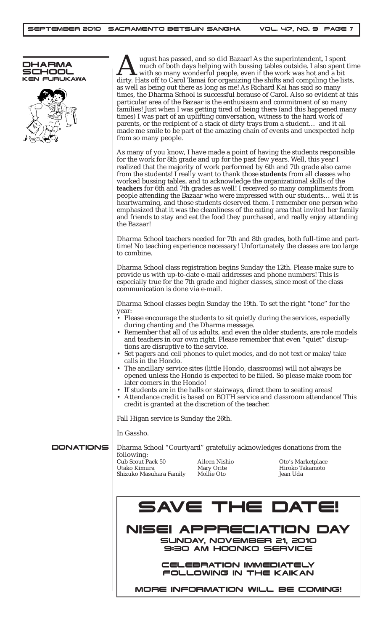



August has passed, and so did Bazaar! As the superintendent, I spent tin much of both days helping with bussing tables outside. I also spent tin dirty. Hats off to Carol Tamai for organizing the shifts and compiling the li much of both days helping with bussing tables outside. I also spent time with so many wonderful people, even if the work was hot and a bit as well as being out there as long as me! As Richard Kai has said so many times, the Dharma School is successful because of Carol. Also so evident at this particular area of the Bazaar is the enthusiasm and commitment of so many families! Just when I was getting tired of being there (and this happened many times) I was part of an uplifting conversation, witness to the hard work of parents, or the recipient of a stack of dirty trays from a student… and it all made me smile to be part of the amazing chain of events and unexpected help from so many people.

As many of you know, I have made a point of having the students responsible for the work for 8th grade and up for the past few years. Well, this year I realized that the majority of work performed by 6th and 7th grade also came from the students! I really want to thank those **students** from all classes who worked bussing tables, and to acknowledge the organizational skills of the **teachers** for 6th and 7th grades as well! I received so many compliments from people attending the Bazaar who were impressed with our students… well it is heartwarming, and those students deserved them. I remember one person who emphasized that it was the cleanliness of the eating area that invited her family and friends to stay and eat the food they purchased, and really enjoy attending the Bazaar!

Dharma School teachers needed for 7th and 8th grades, both full-time and parttime! No teaching experience necessary! Unfortunately the classes are too large to combine.

Dharma School class registration begins Sunday the 12th. Please make sure to provide us with up-to-date e-mail addresses and phone numbers! This is especially true for the 7th grade and higher classes, since most of the class communication is done via e-mail.

Dharma School classes begin Sunday the 19th. To set the right "tone" for the year:

- Please encourage the students to sit quietly during the services, especially during chanting and the Dharma message.
- Remember that all of us adults, and even the older students, are role models and teachers in our own right. Please remember that even "quiet" disruptions are disruptive to the service.
- Set pagers and cell phones to quiet modes, and do not text or make/take calls in the Hondo.
- The ancillary service sites (little Hondo, classrooms) will not always be opened unless the Hondo is expected to be filled. So please make room for later comers in the Hondo!
- If students are in the halls or stairways, direct them to seating areas!
- Attendance credit is based on BOTH service and classroom attendance! This credit is granted at the discretion of the teacher.

Fall Higan service is Sunday the 26th.

In Gassho.

DONATIONS



MORE INFORMATION WILL BE COMING!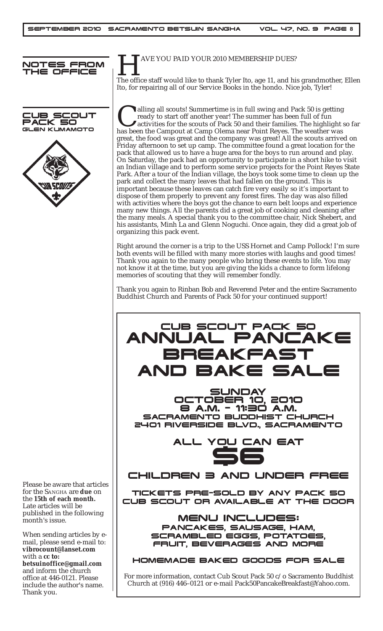





HAVE YOU PAID YOUR 2010 MEMBERSHIP DUES? The office staff would like to thank Tyler Ito, age 11, and his grandmother, Ellen Ito, for repairing all of our Service Books in the hondo. Nice job, Tyler!

alling all scouts! Summertime is in full swing and Pack 50 is getting<br>ready to start off another year! The summer has been full of fun<br>activities for the scouts of Pack 50 and their families. The highlight :<br>has been the C ready to start off another year! The summer has been full of fun activities for the scouts of Pack 50 and their families. The highlight so far has been the Campout at Camp Olema near Point Reyes. The weather was great, the food was great and the company was great! All the scouts arrived on Friday afternoon to set up camp. The committee found a great location for the pack that allowed us to have a huge area for the boys to run around and play. On Saturday, the pack had an opportunity to participate in a short hike to visit an Indian village and to perform some service projects for the Point Reyes State Park. After a tour of the Indian village, the boys took some time to clean up the park and collect the many leaves that had fallen on the ground. This is important because these leaves can catch fire very easily so it's important to dispose of them properly to prevent any forest fires. The day was also filled with activities where the boys got the chance to earn belt loops and experience many new things. All the parents did a great job of cooking and cleaning after the many meals. A special thank you to the committee chair, Nick Shebert, and his assistants, Minh La and Glenn Noguchi. Once again, they did a great job of organizing this pack event.

Right around the corner is a trip to the USS Hornet and Camp Pollock! I'm sure both events will be filled with many more stories with laughs and good times! Thank you again to the many people who bring these events to life. You may not know it at the time, but you are giving the kids a chance to form lifelong memories of scouting that they will remember fondly.

Thank you again to Rinban Bob and Reverend Peter and the entire Sacramento Buddhist Church and Parents of Pack 50 for your continued support!



Please be aware that articles for the SANGHA are **due** on the **15th of each month.** Late articles will be published in the following month's issue.

When sending articles by email, please send e-mail to: **vibrocount@lanset.com** with a **cc to: betsuinoffice@gmail.com** and inform the church office at 446-0121. Please include the author's name. Thank you.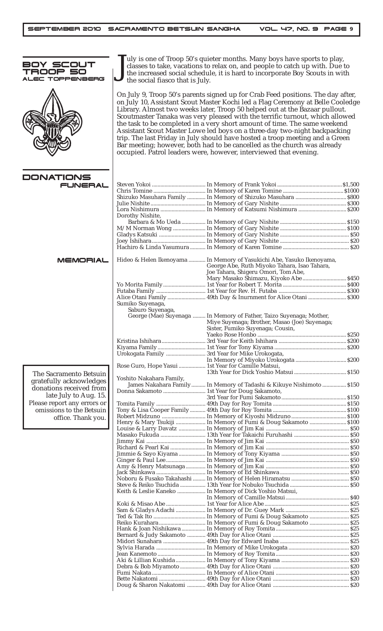| 3OY SCOUT<br>$\equiv$ c<br>TOPPEN<br>JBERG         | uly is one of Troop 50's quieter months. Many boys have sports to play,<br>classes to take, vacations to relax on, and people to catch up with. Due to<br>the increased social schedule, it is hard to incorporate Boy Scouts in with<br>the social fiasco that is July.                                                                                                                                                                                                                                                                                                                                                                                                                                                    |                                                                        |  |  |
|----------------------------------------------------|-----------------------------------------------------------------------------------------------------------------------------------------------------------------------------------------------------------------------------------------------------------------------------------------------------------------------------------------------------------------------------------------------------------------------------------------------------------------------------------------------------------------------------------------------------------------------------------------------------------------------------------------------------------------------------------------------------------------------------|------------------------------------------------------------------------|--|--|
|                                                    | On July 9, Troop 50's parents signed up for Crab Feed positions. The day after,<br>on July 10, Assistant Scout Master Kochi led a Flag Ceremony at Belle Cooledge<br>Library. Almost two weeks later, Troop 50 helped out at the Bazaar pullout.<br>Scoutmaster Tanaka was very pleased with the terrific turnout, which allowed<br>the task to be completed in a very short amount of time. The same weekend<br>Assistant Scout Master Lowe led boys on a three-day two-night backpacking<br>trip. The last Friday in July should have hosted a troop meeting and a Green<br>Bar meeting; however, both had to be cancelled as the church was already<br>occupied. Patrol leaders were, however, interviewed that evening. |                                                                        |  |  |
| <b>DONATIONS</b>                                   |                                                                                                                                                                                                                                                                                                                                                                                                                                                                                                                                                                                                                                                                                                                             |                                                                        |  |  |
| <b>FUNERAL</b>                                     |                                                                                                                                                                                                                                                                                                                                                                                                                                                                                                                                                                                                                                                                                                                             |                                                                        |  |  |
|                                                    |                                                                                                                                                                                                                                                                                                                                                                                                                                                                                                                                                                                                                                                                                                                             | Shizuko Masuhara Family  In Memory of Shizuko Masuhara  \$800          |  |  |
|                                                    |                                                                                                                                                                                                                                                                                                                                                                                                                                                                                                                                                                                                                                                                                                                             |                                                                        |  |  |
|                                                    |                                                                                                                                                                                                                                                                                                                                                                                                                                                                                                                                                                                                                                                                                                                             |                                                                        |  |  |
|                                                    | Dorothy Nishite,                                                                                                                                                                                                                                                                                                                                                                                                                                                                                                                                                                                                                                                                                                            |                                                                        |  |  |
|                                                    |                                                                                                                                                                                                                                                                                                                                                                                                                                                                                                                                                                                                                                                                                                                             |                                                                        |  |  |
|                                                    |                                                                                                                                                                                                                                                                                                                                                                                                                                                                                                                                                                                                                                                                                                                             |                                                                        |  |  |
|                                                    |                                                                                                                                                                                                                                                                                                                                                                                                                                                                                                                                                                                                                                                                                                                             |                                                                        |  |  |
|                                                    |                                                                                                                                                                                                                                                                                                                                                                                                                                                                                                                                                                                                                                                                                                                             |                                                                        |  |  |
| MEMORIAL                                           |                                                                                                                                                                                                                                                                                                                                                                                                                                                                                                                                                                                                                                                                                                                             | Hideo & Helen Ikenoyama  In Memory of Yasukichi Abe, Yasuko Ikenoyama, |  |  |
|                                                    |                                                                                                                                                                                                                                                                                                                                                                                                                                                                                                                                                                                                                                                                                                                             | George Abe, Ruth Miyoko Tahara, Isao Tahara,                           |  |  |
|                                                    |                                                                                                                                                                                                                                                                                                                                                                                                                                                                                                                                                                                                                                                                                                                             | Joe Tahara, Shigeru Omori, Tom Abe,                                    |  |  |
|                                                    |                                                                                                                                                                                                                                                                                                                                                                                                                                                                                                                                                                                                                                                                                                                             | Mary Masako Shimazu, Kiyoko Abe \$450                                  |  |  |
|                                                    |                                                                                                                                                                                                                                                                                                                                                                                                                                                                                                                                                                                                                                                                                                                             |                                                                        |  |  |
|                                                    |                                                                                                                                                                                                                                                                                                                                                                                                                                                                                                                                                                                                                                                                                                                             | Alice Otani Family  49th Day & Inurnment for Alice Otani  \$300        |  |  |
|                                                    | Sumiko Suyenaga,                                                                                                                                                                                                                                                                                                                                                                                                                                                                                                                                                                                                                                                                                                            |                                                                        |  |  |
|                                                    | Saburo Suyenaga,                                                                                                                                                                                                                                                                                                                                                                                                                                                                                                                                                                                                                                                                                                            | George (Mae) Suyenaga  In Memory of Father, Taizo Suyenaga; Mother,    |  |  |
|                                                    |                                                                                                                                                                                                                                                                                                                                                                                                                                                                                                                                                                                                                                                                                                                             | Miye Suyenaga; Brother, Masao (Joe) Suyenaga;                          |  |  |
|                                                    |                                                                                                                                                                                                                                                                                                                                                                                                                                                                                                                                                                                                                                                                                                                             | Sister, Fumiko Suyenaga; Cousin,                                       |  |  |
|                                                    |                                                                                                                                                                                                                                                                                                                                                                                                                                                                                                                                                                                                                                                                                                                             |                                                                        |  |  |
|                                                    |                                                                                                                                                                                                                                                                                                                                                                                                                                                                                                                                                                                                                                                                                                                             |                                                                        |  |  |
|                                                    |                                                                                                                                                                                                                                                                                                                                                                                                                                                                                                                                                                                                                                                                                                                             | Urokogata Family  3rd Year for Mike Urokogata,                         |  |  |
|                                                    |                                                                                                                                                                                                                                                                                                                                                                                                                                                                                                                                                                                                                                                                                                                             |                                                                        |  |  |
|                                                    |                                                                                                                                                                                                                                                                                                                                                                                                                                                                                                                                                                                                                                                                                                                             | Rose Guro, Hope Yasui  1st Year for Camille Matsui,                    |  |  |
| The Sacramento Betsuin                             | Yoshito Nakahara Family,                                                                                                                                                                                                                                                                                                                                                                                                                                                                                                                                                                                                                                                                                                    |                                                                        |  |  |
| gratefully acknowledges<br>donations received from |                                                                                                                                                                                                                                                                                                                                                                                                                                                                                                                                                                                                                                                                                                                             | James Nakahara Family In Memory of Tadashi & Kikuye Nishimoto \$150    |  |  |
| late July to Aug. 15.                              |                                                                                                                                                                                                                                                                                                                                                                                                                                                                                                                                                                                                                                                                                                                             |                                                                        |  |  |
| Please report any errors or                        |                                                                                                                                                                                                                                                                                                                                                                                                                                                                                                                                                                                                                                                                                                                             |                                                                        |  |  |
| omissions to the Betsuin                           |                                                                                                                                                                                                                                                                                                                                                                                                                                                                                                                                                                                                                                                                                                                             |                                                                        |  |  |
| office. Thank you.                                 |                                                                                                                                                                                                                                                                                                                                                                                                                                                                                                                                                                                                                                                                                                                             |                                                                        |  |  |
|                                                    |                                                                                                                                                                                                                                                                                                                                                                                                                                                                                                                                                                                                                                                                                                                             | Henry & Mary Tsukiji  In Memory of Fumi & Doug Sakamoto  \$100         |  |  |
|                                                    |                                                                                                                                                                                                                                                                                                                                                                                                                                                                                                                                                                                                                                                                                                                             |                                                                        |  |  |
|                                                    |                                                                                                                                                                                                                                                                                                                                                                                                                                                                                                                                                                                                                                                                                                                             |                                                                        |  |  |
|                                                    |                                                                                                                                                                                                                                                                                                                                                                                                                                                                                                                                                                                                                                                                                                                             |                                                                        |  |  |
|                                                    |                                                                                                                                                                                                                                                                                                                                                                                                                                                                                                                                                                                                                                                                                                                             |                                                                        |  |  |
|                                                    |                                                                                                                                                                                                                                                                                                                                                                                                                                                                                                                                                                                                                                                                                                                             |                                                                        |  |  |
|                                                    |                                                                                                                                                                                                                                                                                                                                                                                                                                                                                                                                                                                                                                                                                                                             |                                                                        |  |  |
|                                                    |                                                                                                                                                                                                                                                                                                                                                                                                                                                                                                                                                                                                                                                                                                                             |                                                                        |  |  |
|                                                    |                                                                                                                                                                                                                                                                                                                                                                                                                                                                                                                                                                                                                                                                                                                             |                                                                        |  |  |
|                                                    |                                                                                                                                                                                                                                                                                                                                                                                                                                                                                                                                                                                                                                                                                                                             | Keith & Leslie Kaneko  In Memory of Dick Yoshio Matsui,                |  |  |
|                                                    |                                                                                                                                                                                                                                                                                                                                                                                                                                                                                                                                                                                                                                                                                                                             |                                                                        |  |  |
|                                                    |                                                                                                                                                                                                                                                                                                                                                                                                                                                                                                                                                                                                                                                                                                                             |                                                                        |  |  |
|                                                    |                                                                                                                                                                                                                                                                                                                                                                                                                                                                                                                                                                                                                                                                                                                             |                                                                        |  |  |
|                                                    |                                                                                                                                                                                                                                                                                                                                                                                                                                                                                                                                                                                                                                                                                                                             |                                                                        |  |  |
|                                                    |                                                                                                                                                                                                                                                                                                                                                                                                                                                                                                                                                                                                                                                                                                                             |                                                                        |  |  |
|                                                    |                                                                                                                                                                                                                                                                                                                                                                                                                                                                                                                                                                                                                                                                                                                             |                                                                        |  |  |
|                                                    |                                                                                                                                                                                                                                                                                                                                                                                                                                                                                                                                                                                                                                                                                                                             |                                                                        |  |  |
|                                                    |                                                                                                                                                                                                                                                                                                                                                                                                                                                                                                                                                                                                                                                                                                                             |                                                                        |  |  |
|                                                    |                                                                                                                                                                                                                                                                                                                                                                                                                                                                                                                                                                                                                                                                                                                             |                                                                        |  |  |
|                                                    |                                                                                                                                                                                                                                                                                                                                                                                                                                                                                                                                                                                                                                                                                                                             |                                                                        |  |  |
|                                                    |                                                                                                                                                                                                                                                                                                                                                                                                                                                                                                                                                                                                                                                                                                                             |                                                                        |  |  |
|                                                    |                                                                                                                                                                                                                                                                                                                                                                                                                                                                                                                                                                                                                                                                                                                             |                                                                        |  |  |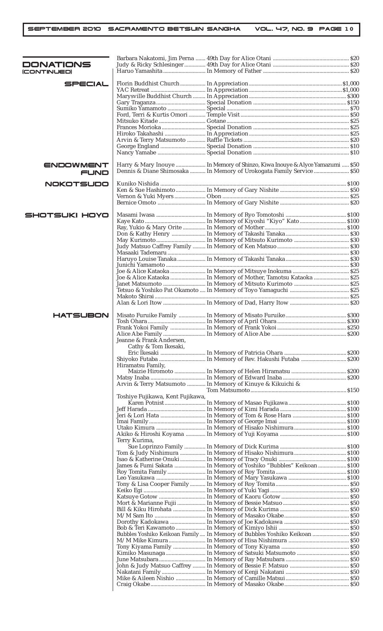| DONATIONS<br>(CONTINUED) |                                                  |                                                                                                                                                       |  |
|--------------------------|--------------------------------------------------|-------------------------------------------------------------------------------------------------------------------------------------------------------|--|
|                          |                                                  |                                                                                                                                                       |  |
| SPECIAL                  |                                                  |                                                                                                                                                       |  |
|                          |                                                  |                                                                                                                                                       |  |
|                          |                                                  |                                                                                                                                                       |  |
|                          |                                                  |                                                                                                                                                       |  |
|                          |                                                  |                                                                                                                                                       |  |
|                          |                                                  |                                                                                                                                                       |  |
|                          |                                                  |                                                                                                                                                       |  |
|                          |                                                  |                                                                                                                                                       |  |
|                          |                                                  |                                                                                                                                                       |  |
|                          |                                                  |                                                                                                                                                       |  |
| ENDOWMENT<br>FUND        |                                                  | Harry & Mary Inouye  In Memory of Shinzo, Kiwa Inouye & Alyce Yamazumi  \$50<br>Dennis & Diane Shimosaka  In Memory of Urokogata Family Service  \$50 |  |
| <b>NOKOTSUDO</b>         |                                                  |                                                                                                                                                       |  |
|                          |                                                  |                                                                                                                                                       |  |
|                          |                                                  |                                                                                                                                                       |  |
|                          |                                                  |                                                                                                                                                       |  |
| SHOTSUKI HOYO            |                                                  |                                                                                                                                                       |  |
|                          |                                                  |                                                                                                                                                       |  |
|                          |                                                  |                                                                                                                                                       |  |
|                          |                                                  |                                                                                                                                                       |  |
|                          |                                                  |                                                                                                                                                       |  |
|                          |                                                  |                                                                                                                                                       |  |
|                          |                                                  |                                                                                                                                                       |  |
|                          |                                                  |                                                                                                                                                       |  |
|                          |                                                  | Joe & Alice Kataoka  In Memory of Mother, Tamotsu Kataoka  \$25                                                                                       |  |
|                          |                                                  |                                                                                                                                                       |  |
|                          |                                                  |                                                                                                                                                       |  |
|                          |                                                  |                                                                                                                                                       |  |
|                          |                                                  |                                                                                                                                                       |  |
| <b>HATSUBON</b>          |                                                  |                                                                                                                                                       |  |
|                          |                                                  |                                                                                                                                                       |  |
|                          |                                                  |                                                                                                                                                       |  |
|                          | Jeanne & Frank Andersen,<br>Cathy & Tom Ikesaki, |                                                                                                                                                       |  |
|                          |                                                  |                                                                                                                                                       |  |
|                          |                                                  |                                                                                                                                                       |  |
|                          | Hiramatsu Family,                                |                                                                                                                                                       |  |
|                          |                                                  |                                                                                                                                                       |  |
|                          |                                                  | Arvin & Terry Matsumoto  In Memory of Kinuye & Kikuichi &                                                                                             |  |
|                          |                                                  |                                                                                                                                                       |  |
|                          | Toshiye Fujikawa, Kent Fujikawa,                 |                                                                                                                                                       |  |
|                          |                                                  |                                                                                                                                                       |  |
|                          |                                                  |                                                                                                                                                       |  |
|                          |                                                  |                                                                                                                                                       |  |
|                          |                                                  |                                                                                                                                                       |  |
|                          | Terry Kurima,                                    |                                                                                                                                                       |  |
|                          |                                                  |                                                                                                                                                       |  |
|                          |                                                  | Tom & Judy Nishimura  In Memory of Hisako Nishimura  \$100                                                                                            |  |
|                          |                                                  | James & Fumi Sakata  In Memory of Yoshiko "Bubbles" Keikoan  \$100                                                                                    |  |
|                          |                                                  |                                                                                                                                                       |  |
|                          |                                                  |                                                                                                                                                       |  |
|                          |                                                  |                                                                                                                                                       |  |
|                          |                                                  |                                                                                                                                                       |  |
|                          |                                                  |                                                                                                                                                       |  |
|                          |                                                  |                                                                                                                                                       |  |
|                          |                                                  |                                                                                                                                                       |  |
|                          |                                                  |                                                                                                                                                       |  |
|                          |                                                  | Bubbles Yoshiko Keikoan Family In Memory of Bubbles Yoshiko Keikoan  \$50                                                                             |  |
|                          |                                                  |                                                                                                                                                       |  |
|                          |                                                  |                                                                                                                                                       |  |
|                          |                                                  |                                                                                                                                                       |  |
|                          |                                                  |                                                                                                                                                       |  |
|                          |                                                  |                                                                                                                                                       |  |
|                          |                                                  |                                                                                                                                                       |  |
|                          |                                                  |                                                                                                                                                       |  |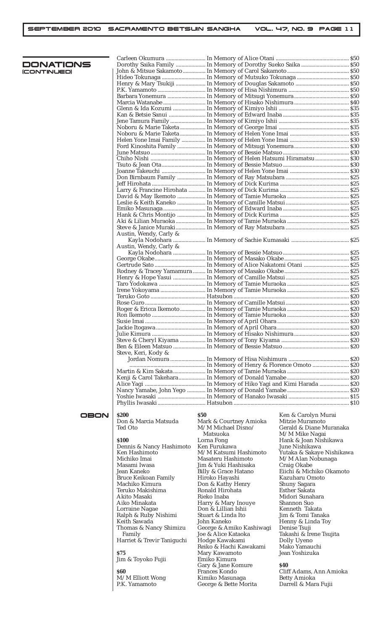| DONATIONS          |                            |                          | Dorothy Saika Family  In Memory of Dorothy Sueko Saika  \$50 |
|--------------------|----------------------------|--------------------------|--------------------------------------------------------------|
|                    |                            |                          |                                                              |
| <b>ICONTINUEDI</b> |                            |                          |                                                              |
|                    |                            |                          |                                                              |
|                    |                            |                          |                                                              |
|                    |                            |                          |                                                              |
|                    |                            |                          |                                                              |
|                    |                            |                          |                                                              |
|                    |                            |                          |                                                              |
|                    |                            |                          |                                                              |
|                    |                            |                          |                                                              |
|                    |                            |                          |                                                              |
|                    |                            |                          |                                                              |
|                    |                            |                          |                                                              |
|                    |                            |                          |                                                              |
|                    |                            |                          |                                                              |
|                    |                            |                          |                                                              |
|                    |                            |                          |                                                              |
|                    |                            |                          |                                                              |
|                    |                            |                          |                                                              |
|                    |                            |                          |                                                              |
|                    |                            |                          |                                                              |
|                    |                            |                          |                                                              |
|                    |                            |                          |                                                              |
|                    |                            |                          |                                                              |
|                    |                            |                          |                                                              |
|                    |                            |                          |                                                              |
|                    |                            |                          |                                                              |
|                    |                            |                          |                                                              |
|                    |                            |                          |                                                              |
|                    |                            |                          |                                                              |
|                    | Austin, Wendy, Carly &     |                          |                                                              |
|                    |                            |                          |                                                              |
|                    | Austin, Wendy, Carly &     |                          |                                                              |
|                    |                            |                          |                                                              |
|                    |                            |                          |                                                              |
|                    |                            |                          |                                                              |
|                    |                            |                          |                                                              |
|                    |                            |                          |                                                              |
|                    |                            |                          |                                                              |
|                    |                            |                          |                                                              |
|                    |                            |                          |                                                              |
|                    |                            |                          |                                                              |
|                    |                            |                          |                                                              |
|                    |                            |                          |                                                              |
|                    |                            |                          |                                                              |
|                    |                            |                          |                                                              |
|                    |                            |                          |                                                              |
|                    |                            |                          |                                                              |
|                    |                            |                          |                                                              |
|                    |                            |                          |                                                              |
|                    |                            |                          |                                                              |
|                    | Steve, Keri, Kody &        |                          |                                                              |
|                    |                            |                          |                                                              |
|                    |                            |                          |                                                              |
|                    |                            |                          |                                                              |
|                    |                            |                          |                                                              |
|                    |                            |                          |                                                              |
|                    |                            |                          |                                                              |
|                    |                            |                          |                                                              |
|                    |                            |                          |                                                              |
|                    |                            |                          |                                                              |
|                    |                            |                          |                                                              |
| OBON               | <b>S200</b>                | <b>S50</b>               | Ken & Carolyn Murai                                          |
|                    | Don & Marcia Matsuda       | Mark & Courtney Amioka   | Mitzie Muramoto                                              |
|                    |                            |                          |                                                              |
|                    | Ted Oto                    | M/M Michael Disno/       | Gerald & Diane Muranaka                                      |
|                    |                            | Matsuoka                 | M/M Mike Nagai                                               |
|                    | <b>S100</b>                | Lorna Fong               | Hank & Joan Nishikawa                                        |
|                    | Dennis & Nancy Hashimoto   | Ken Furukawa             | June Nishikawa                                               |
|                    | Ken Hashimoto              | M/M Katsumi Hashimoto    | Yutaka & Sakaye Nishikawa                                    |
|                    | Michiko Imai               | Masateru Hashimoto       | M/M Alan Nobunaga                                            |
|                    | Masami Iwasa               | Jim & Yuki Hashisaka     | Craig Okabe                                                  |
|                    | Jean Kaneko                | Billy & Grace Hatano     | Eiichi & Michiko Okamoto                                     |
|                    | Bruce Keikoan Family       | Hiroko Hayashi           | Kazuharu Omoto                                               |
|                    | Machiko Kimura             | Don & Kathy Henry        | Shuny Sagara                                                 |
|                    | Teruko Makishima           | Ronald Hirohata          | <b>Esther Sakata</b>                                         |
|                    |                            |                          |                                                              |
|                    | Akito Masaki               | Rieko Inaba              | Midori Sunahara                                              |
|                    | Aiko Minakata              | Harry & Mary Inouye      | Shannon Suo                                                  |
|                    | Lorraine Nagae             | Don & Lillian Ishii      | Kenneth Takata                                               |
|                    | Ralph & Ruby Nishimi       | Stuart & Linda Ito       | Jim & Tomi Tanaka                                            |
|                    | Keith Sawada               | John Kaneko              | Henny & Linda Toy                                            |
|                    | Thomas & Nancy Shimizu     | George & Amiko Kashiwagi | Denise Tsuji                                                 |
|                    | Family                     | Joe & Alice Kataoka      | Takashi & Irene Tsujita                                      |
|                    | Harriet & Trevir Taniguchi | Hodge Kawakami           | Dolly Uyeno                                                  |
|                    |                            | Reiko & Hachi Kawakami   | Mako Yamauchi                                                |
|                    | <b>\$75</b>                | Mary Kawamoto            | Jean Yoshizuka                                               |
|                    |                            | Emiko Kimura             |                                                              |
|                    | Jim & Toyoko Fujii         |                          | <b>S40</b>                                                   |
|                    |                            | Gary & Jane Komure       |                                                              |
|                    | <b>\$60</b>                | <b>Frances Kondo</b>     | Cliff Adams, Ann Amioka                                      |
|                    | M/M Elliott Wong           | Kimiko Masunaga          | <b>Betty Amioka</b>                                          |
|                    | P.K. Yamamoto              | George & Bette Morita    | Darrell & Mara Fujii                                         |
|                    |                            |                          |                                                              |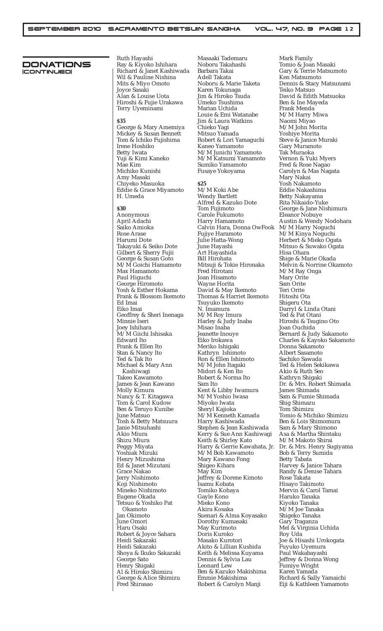### DONATIONS (CONTINUED)

Ruth Hayashi Ray & Kiyoko Ishihara Richard & Janet Kashiwada Wil & Pauline Nishina Mits & Miyo Omoto Joyce Sasaki Alan & Louise Uota Hiroshi & Fujie Urakawa Terry Uyeminami

#### **\$35**

George & Mary Amemiya Mickey & Susan Bennett Tom & Ichiko Fujishima Irene Hoshiko Betty Iwata Yuji & Kimi Kaneko Mae Kim Michiko Kunishi Amy Masaki Chiyeko Masuoka Eddie & Grace Miyamoto H. Umeda

**\$30**

Anonymous April Adachi Saiko Amioka Rose Arase Harumi Dote Takayuki & Seiko Dote Gilbert & Sherry Fujii George & Susan Goto M/M Goichi Hamamoto Max Hamamoto Paul Higuchi George Hiromoto Yosh & Esther Hokama Frank & Blossom Ikemoto Ed Imai Eiko Imai Geoffrey & Sheri Inenaga Minnie Iseri Joey Ishihara M/M Giichi Ishisaka Edward Ito Frank & Ellen Ito Stan & Nancy Ito Ted & Tak Ito Michael & Mary Ann Kashiwagi Takeo Kawamoto James & Jean Kawano Molly Kimura Nancy & T. Kitagawa Tom & Carol Kudow Ben & Teruyo Kunibe June Matsuo Tosh & Betty Matsuura Janie Mitsuhashi Akio Miura Shizu Miura Peggy Miyata Yoshiak Mizuki Henry Mizushima Ed & Janet Mizutani Grace Nakao Jerry Nishimoto Koji Nishimoto Mineko Nishimoto Eugene Okada Tetsuo & Yoshiko Pat Okamoto Jan Okimoto June Omori Haru Osaki Robert & Joyce Sahara Heidi Sakazaki Heidi Sakazaki Shoya & Ikuko Sakazaki George Sato Henry Shigaki Al & Hiroko Shimizu George & Alice Shimizu Fred Shirasao

Masaaki Tademaru Noboru Takahashi Barbara Takai Adell Takata Noboru & Marie Taketa Karen Tokunaga Jim & Hiroko Tsuda Umeko Tsushima Marian Uchida Louie & Emi Watanabe Jim & Laura Watkins Chieko Yagi Mitsuo Yamada Robert & Lori Yamaguchi Kaneo Yamamoto M/M Junichi Yamamoto M/M Katsumi Yamamoto Sumiko Yamamoto Fusaye Yokoyama

## **\$25**

M/M Koki Abe Wendy Bartlett Alfred & Kazuko Dote Tom Fujimoto Carole Fukumoto Harry Hamamoto Calvin Hara, Donna OwFook Fujiye Haramoto Julie Hatta-Wong June Hayashi Art Hayashida Bill Hirohata Mitsuji & Tokie Hironaka Fred Hirotani Joan Hisamoto Wayne Horita David & May Ikemoto Thomas & Harriet Ikemoto Tsuyuko Ikemoto N. Imamura M/M Roy Imura Harley & Judy Inaba Misao Inaba Jeanette Inouye Eiko Irokawa Meriko Ishigaki Kathryn Ishimoto Ron & Ellen Ishimoto M/M John Itagaki Midori & Ken Ito Robert & Norma Ito Sam Ito Kent & Libby Iwamura M/M Yoshio Iwasa Miyoko Iwata Sheryl Kajioka M/M Kenneth Kamada Harry Kashiwada Stephen & Jean Kashiwada Kerry & Sue Ann Kashiwagi Keith & Shirley Kato Harry & Gerrie Kawahata, Jr. M/M Bob Kawamoto Mary Kawano Fong Shigeo Kihara May Kim Jeffrey & Dorene Kimoto Isamu Kobata Tomiko Kohaya Gayle Kono Mieko Kono Akira Kosaka Suenari & Alma Koyasako Dorothy Kumasaki May Kurimoto Doris Kuroko Masako Kurotori Akito & Lillian Kushida Keith & Melissa Kuyama Dennis & Sylvia Lau Leonard Lew Ben & Kazuko Makishima Emmie Makishima Robert & Carolyn Manji

Mark Family Tomio & Joan Masaki Gary & Terrie Matsumoto Ken Matsumoto Dennis & Stacy Matsunami Teiko Matsuo David & Edith Matsuoka Ben & Ine Mayeda Frank Menda M/M Harry Miwa Naomi Miyao M/M John Morita Yoshiye Morita Steve & Janice Muraki Gary Muramoto Tak Muraoka Vernon & Yuki Myers Fred & Rose Nagao Carolyn & Mas Nagata Mary Nakai Yosh Nakamoto Eddie Nakashima Betty Nakayama Rita Nikaido-Yuke George & Jane Nishimura Eleanor Nobuye Austin & Wendy Nodohara M/M Harry Noguchi M/M Kinya Noguchi Herbert & Mieko Ogata Mitsuo & Suwako Ogata Hisa Ohara Shige & Marie Okada Melvin & Norrine Okamoto M/M Ray Onga Mary Orite Sam Orite Teri Orite Hitoshi Ota Shigeru Ota Darryl & Linda Otani Ted & Pat Otani Hiroshi & Tsugino Oto Joan Ouchida Bernard & Judy Sakamoto Charles & Kayoko Sakamoto Donna Sakamoto Albert Sasamoto Sachiko Sawada Ted & Helen Sekikawa Akio & Ruth Seo Kathryn Shigaki Dr. & Mrs. Robert Shimada James Shimada Sam & Fumie Shimada Shig Shimazu Tom Shimizu Tomio & Michiko Shimizu Ben & Lois Shimomura Sam & Mary Shimono Asa & Martha Shintaku M/M Makoto Shirai Dr. & Mrs. Henry Sugiyama Bob & Terry Sumida Betty Tabata Harvey & Janice Tahara Randy & Denise Tahara Rose Takata Hisayo Takimoto Mervin & Carol Tamai Haruko Tanaka Kiyoko Tanaka M/M Joe Tanaka Shigeko Tanaka Gary Traganza Mel & Virginia Uchida Roy Uda Joe & Hisashi Urokogata Fuyuko Uyemura Paul Wakabayashi Jeffrey & Donna Wong Fumiye Wright Karen Yamada Richard & Sally Yamaichi Eiji & Kathleen Yamamoto